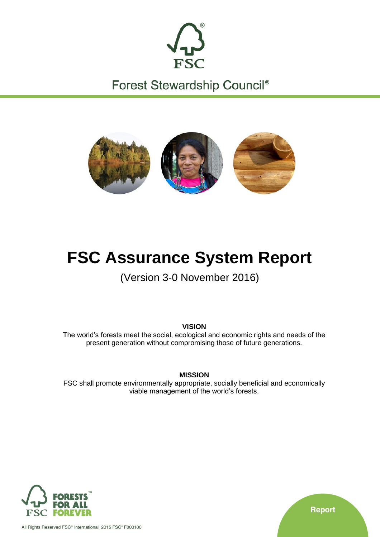

Forest Stewardship Council®



# **FSC Assurance System Report**

(Version 3-0 November 2016)

**VISION**

The world's forests meet the social, ecological and economic rights and needs of the present generation without compromising those of future generations.

**MISSION**

FSC shall promote environmentally appropriate, socially beneficial and economically viable management of the world's forests.



All Rights Reserved FSC<sup>®</sup> International 2015 FSC<sup>®</sup> F000100

**Report**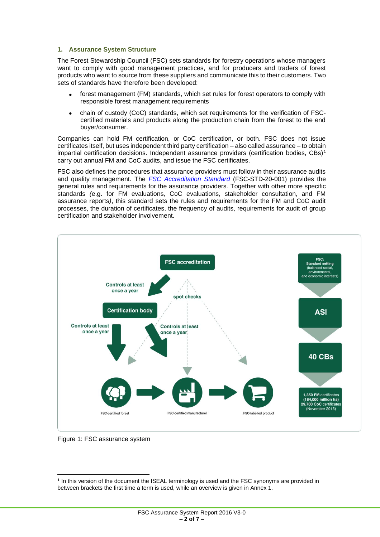#### **1. Assurance System Structure**

The Forest Stewardship Council (FSC) sets standards for forestry operations whose managers want to comply with good management practices, and for producers and traders of forest products who want to source from these suppliers and communicate this to their customers. Two sets of standards have therefore been developed:

- forest management (FM) standards, which set rules for forest operators to comply with responsible forest management requirements
- chain of custody (CoC) standards, which set requirements for the verification of FSCcertified materials and products along the production chain from the forest to the end buyer/consumer.

Companies can hold FM certification, or CoC certification, or both. FSC does not issue certificates itself, but uses independent third party certification – also called assurance – to obtain impartial certification decisions. Independent assurance providers (certification bodies,  $CBs$ )<sup>1</sup> carry out annual FM and CoC audits, and issue the FSC certificates.

FSC also defines the procedures that assurance providers must follow in their assurance audits and quality management. The *[FSC Accreditation Standard](https://ic.fsc.org/standards.340.htm)* (FSC-STD-20-001) provides the general rules and requirements for the assurance providers*.* Together with other more specific standards *(*e.g. for FM evaluations, CoC evaluations, stakeholder consultation, and FM assurance reports*)*, this standard sets the rules and requirements for the FM and CoC audit processes, the duration of certificates, the frequency of audits, requirements for audit of group certification and stakeholder involvement.



Figure 1: FSC assurance system

 $\overline{\phantom{a}}$ **1** In this version of the document the ISEAL terminology is used and the FSC synonyms are provided in between brackets the first time a term is used, while an overview is given in Annex 1.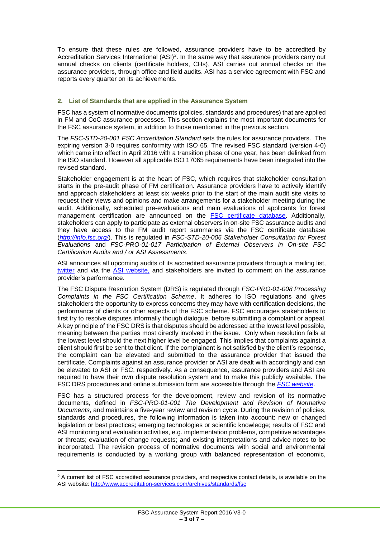To ensure that these rules are followed, assurance providers have to be accredited by Accreditation Services International (ASI)<sup>2</sup>. In the same way that assurance providers carry out annual checks on clients (certificate holders, CHs), ASI carries out annual checks on the assurance providers, through office and field audits. ASI has a service agreement with FSC and reports every quarter on its achievements.

#### **2. List of Standards that are applied in the Assurance System**

FSC has a system of normative documents (policies, standards and procedures) that are applied in FM and CoC assurance processes. This section explains the most important documents for the FSC assurance system, in addition to those mentioned in the previous section.

The *FSC-STD-20-001 FSC Accreditation Standard* sets the rules for assurance providers. The expiring version 3-0 requires conformity with ISO 65. The revised FSC standard (version 4-0) which came into effect in April 2016 with a transition phase of one year, has been delinked from the ISO standard. However all applicable ISO 17065 requirements have been integrated into the revised standard.

Stakeholder engagement is at the heart of FSC, which requires that stakeholder consultation starts in the pre-audit phase of FM certification. Assurance providers have to actively identify and approach stakeholders at least six weeks prior to the start of the main audit site visits to request their views and opinions and make arrangements for a stakeholder meeting during the audit. Additionally, scheduled pre-evaluations and main evaluations of applicants for forest management certification are announced on the **FSC** certificate database. Additionally, stakeholders can apply to participate as external observers in on-site FSC assurance audits and they have access to the FM audit report summaries via the FSC certificate database (*<http://info.fsc.org/>*). This is regulated in *FSC-STD-20-006 Stakeholder Consultation for Forest Evaluations* and *FSC-PRO-01-017 Participation of External Observers in On-site FSC Certification Audits and / or ASI Assessments*.

ASI announces all upcoming audits of its accredited assurance providers through a mailing list, [twitter](https://twitter.com/ASI_Assessments) and via the [ASI website,](http://www.accreditation-services.com/archives/assessments?standard=fsc) and stakeholders are invited to comment on the assurance provider's performance.

The FSC Dispute Resolution System (DRS) is regulated through *FSC-PRO-01-008 Processing Complaints in the FSC Certification Scheme*. It adheres to ISO regulations and gives stakeholders the opportunity to express concerns they may have with certification decisions, the performance of clients or other aspects of the FSC scheme. FSC encourages stakeholders to first try to resolve disputes informally though dialogue, before submitting a complaint or appeal. A key principle of the FSC DRS is that disputes should be addressed at the lowest level possible, meaning between the parties most directly involved in the issue. Only when resolution fails at the lowest level should the next higher level be engaged. This implies that complaints against a client should first be sent to that client. If the complainant is not satisfied by the client's response, the complaint can be elevated and submitted to the assurance provider that issued the certificate. Complaints against an assurance provider or ASI are dealt with accordingly and can be elevated to ASI or FSC, respectively. As a consequence, assurance providers and ASI are required to have their own dispute resolution system and to make this publicly available. The FSC DRS procedures and online submission form are accessible through the *[FSC website](https://ic.fsc.org/dispute-resolution.139.htm)*.

FSC has a structured process for the development, review and revision of its normative documents, defined in *FSC-PRO-01-001 The Development and Revision of Normative Documents*, and maintains a five-year review and revision cycle. During the revision of policies, standards and procedures, the following information is taken into account: new or changed legislation or best practices; emerging technologies or scientific knowledge; results of FSC and ASI monitoring and evaluation activities, e.g. implementation problems, competitive advantages or threats; evaluation of change requests; and existing interpretations and advice notes to be incorporated. The revision process of normative documents with social and environmental requirements is conducted by a working group with balanced representation of economic,

 $\overline{\phantom{a}}$ 

**<sup>2</sup>** A current list of FSC accredited assurance providers, and respective contact details, is available on the ASI website[: http://www.accreditation-services.com/archives/standards/fsc](http://www.accreditation-services.com/archives/standards/fsc)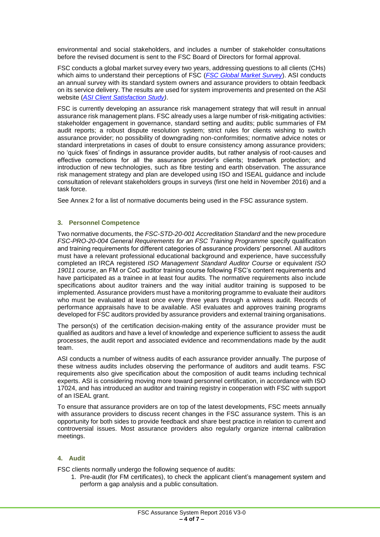environmental and social stakeholders, and includes a number of stakeholder consultations before the revised document is sent to the FSC Board of Directors for formal approval.

FSC conducts a global market survey every two years, addressing questions to all clients (CHs) which aims to understand their perceptions of FSC (*[FSC Global Market Survey](https://ic.fsc.org/en/resources/market-information/gms)*). ASI conducts an annual survey with its standard system owners and assurance providers to obtain feedback on its service delivery. The results are used for system improvements and presented on the ASI website (*[ASI Client Satisfaction Study\)](http://www.accreditation-services.com/archives/asi-presents-the-executive-summary-of-the-2015-client-satisfaction-study)*.

FSC is currently developing an assurance risk management strategy that will result in annual assurance risk management plans. FSC already uses a large number of risk-mitigating activities: stakeholder engagement in governance, standard setting and audits; public summaries of FM audit reports; a robust dispute resolution system; strict rules for clients wishing to switch assurance provider; no possibility of downgrading non-conformities; normative advice notes or standard interpretations in cases of doubt to ensure consistency among assurance providers; no 'quick fixes' of findings in assurance provider audits, but rather analysis of root-causes and effective corrections for all the assurance provider's clients; trademark protection; and introduction of new technologies, such as fibre testing and earth observation. The assurance risk management strategy and plan are developed using ISO and ISEAL guidance and include consultation of relevant stakeholders groups in surveys (first one held in November 2016) and a task force.

See Annex 2 for a list of normative documents being used in the FSC assurance system.

#### **3. Personnel Competence**

Two normative documents, the *FSC-STD-20-001 Accreditation Standard* and the new procedure *FSC-PRO-20-004 General Requirements for an FSC Training Programme* specify qualification and training requirements for different categories of assurance providers' personnel. All auditors must have a relevant professional educational background and experience, have successfully completed an IRCA registered *ISO Management Standard Auditor Course* or equivalent *ISO 19011 course*, an FM or CoC auditor training course following FSC's content requirements and have participated as a trainee in at least four audits. The normative requirements also include specifications about auditor trainers and the way initial auditor training is supposed to be implemented. Assurance providers must have a monitoring programme to evaluate their auditors who must be evaluated at least once every three years through a witness audit. Records of performance appraisals have to be available. ASI evaluates and approves training programs developed for FSC auditors provided by assurance providers and external training organisations.

The person(s) of the certification decision-making entity of the assurance provider must be qualified as auditors and have a level of knowledge and experience sufficient to assess the audit processes, the audit report and associated evidence and recommendations made by the audit team.

ASI conducts a number of witness audits of each assurance provider annually. The purpose of these witness audits includes observing the performance of auditors and audit teams. FSC requirements also give specification about the composition of audit teams including technical experts. ASI is considering moving more toward personnel certification, in accordance with ISO 17024, and has introduced an auditor and training registry in cooperation with FSC with support of an ISEAL grant.

To ensure that assurance providers are on top of the latest developments, FSC meets annually with assurance providers to discuss recent changes in the FSC assurance system. This is an opportunity for both sides to provide feedback and share best practice in relation to current and controversial issues. Most assurance providers also regularly organize internal calibration meetings.

# **4. Audit**

FSC clients normally undergo the following sequence of audits:

1. Pre-audit (for FM certificates), to check the applicant client's management system and perform a gap analysis and a public consultation.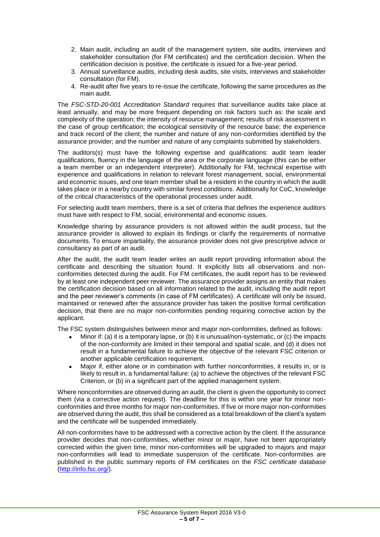- 2. Main audit, including an audit of the management system, site audits, interviews and stakeholder consultation (for FM certificates) and the certification decision. When the certification decision is positive, the certificate is issued for a five-year period.
- 3. Annual surveillance audits, including desk audits, site visits, interviews and stakeholder consultation (for FM).
- 4. Re-audit after five years to re-issue the certificate, following the same procedures as the main audit.

The *FSC-STD-20-001 Accreditation Standard* requires that surveillance audits take place at least annually, and may be more frequent depending on risk factors such as: the scale and complexity of the operation; the intensity of resource management; results of risk assessment in the case of group certification; the ecological sensitivity of the resource base; the experience and track record of the client; the number and nature of any non-conformities identified by the assurance provider; and the number and nature of any complaints submitted by stakeholders.

The auditors(s) must have the following expertise and qualifications: audit team leader qualifications, fluency in the language of the area or the corporate language (this can be either a team member or an independent interpreter). Additionally for FM, technical expertise with experience and qualifications in relation to relevant forest management, social, environmental and economic issues, and one team member shall be a resident in the country in which the audit takes place or in a nearby country with similar forest conditions. Additionally for CoC, knowledge of the critical characteristics of the operational processes under audit.

For selecting audit team members, there is a set of criteria that defines the experience auditors must have with respect to FM, social, environmental and economic issues.

Knowledge sharing by assurance providers is not allowed within the audit process, but the assurance provider is allowed to explain its findings or clarify the requirements of normative documents. To ensure impartiality, the assurance provider does not give prescriptive advice or consultancy as part of an audit.

After the audit, the audit team leader writes an audit report providing information about the certificate and describing the situation found. It explicitly lists all observations and nonconformities detected during the audit. For FM certificates, the audit report has to be reviewed by at least one independent peer reviewer. The assurance provider assigns an entity that makes the certification decision based on all information related to the audit, including the audit report and the peer reviewer's comments (in case of FM certificates). A certificate will only be issued, maintained or renewed after the assurance provider has taken the positive formal certification decision, that there are no major non-conformities pending requiring corrective action by the applicant.

The FSC system distinguishes between minor and major non-conformities, defined as follows:

- Minor if: (a) it is a temporary lapse, or (b) it is unusual/non-systematic, or (c) the impacts of the non-conformity are limited in their temporal and spatial scale, and (d) it does not result in a fundamental failure to achieve the objective of the relevant FSC criterion or another applicable certification requirement.
- Major if, either alone or in combination with further nonconformities, it results in, or is likely to result in, a fundamental failure: (a) to achieve the objectives of the relevant FSC Criterion, or (b) in a significant part of the applied management system.

Where nonconformities are observed during an audit, the client is given the opportunity to correct them (via a corrective action request). The deadline for this is within one year for minor nonconformities and three months for major non-conformities. If five or more major non-conformities are observed during the audit, this shall be considered as a total breakdown of the client's system and the certificate will be suspended immediately.

All non-conformities have to be addressed with a corrective action by the client. If the assurance provider decides that non-conformities, whether minor or major, have not been appropriately corrected within the given time, minor non-conformities will be upgraded to majors and major non-conformities will lead to immediate suspension of the certificate. Non-conformities are published in the public summary reports of FM certificates on the *FSC certificate database* [\(http://info.fsc.org/\)](http://info.fsc.org/).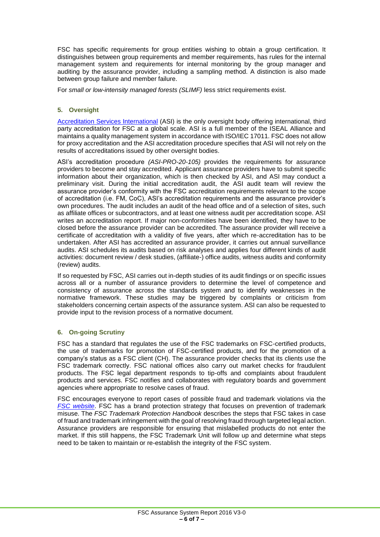FSC has specific requirements for group entities wishing to obtain a group certification. It distinguishes between group requirements and member requirements, has rules for the internal management system and requirements for internal monitoring by the group manager and auditing by the assurance provider, including a sampling method. A distinction is also made between group failure and member failure.

For *small or low-intensity managed forests (SLIMF)* less strict requirements exist.

# **5. Oversight**

[Accreditation Services International](http://www.accreditation-services.com/) (ASI) is the only oversight body offering international, third party accreditation for FSC at a global scale. ASI is a full member of the ISEAL Alliance and maintains a quality management system in accordance with ISO/IEC 17011. FSC does not allow for proxy accreditation and the ASI accreditation procedure specifies that ASI will not rely on the results of accreditations issued by other oversight bodies.

ASI's accreditation procedure *(ASI-PRO-20-105)* provides the requirements for assurance providers to become and stay accredited. Applicant assurance providers have to submit specific information about their organization, which is then checked by ASI, and ASI may conduct a preliminary visit. During the initial accreditation audit, the ASI audit team will review the assurance provider's conformity with the FSC accreditation requirements relevant to the scope of accreditation (i.e. FM, CoC), ASI's accreditation requirements and the assurance provider's own procedures. The audit includes an audit of the head office and of a selection of sites, such as affiliate offices or subcontractors, and at least one witness audit per accreditation scope. ASI writes an accreditation report. If major non-conformities have been identified, they have to be closed before the assurance provider can be accredited. The assurance provider will receive a certificate of accreditation with a validity of five years, after which re-accreditation has to be undertaken. After ASI has accredited an assurance provider, it carries out annual surveillance audits. ASI schedules its audits based on risk analyses and applies four different kinds of audit activities: document review / desk studies, (affiliate-) office audits, witness audits and conformity (review) audits.

If so requested by FSC, ASI carries out in-depth studies of its audit findings or on specific issues across all or a number of assurance providers to determine the level of competence and consistency of assurance across the standards system and to identify weaknesses in the normative framework. These studies may be triggered by complaints or criticism from stakeholders concerning certain aspects of the assurance system. ASI can also be requested to provide input to the revision process of a normative document.

#### **6. On-going Scrutiny**

FSC has a standard that regulates the use of the FSC trademarks on FSC-certified products, the use of trademarks for promotion of FSC-certified products, and for the promotion of a company's status as a FSC client (CH). The assurance provider checks that its clients use the FSC trademark correctly. FSC national offices also carry out market checks for fraudulent products. The FSC legal department responds to tip-offs and complaints about fraudulent products and services. FSC notifies and collaborates with regulatory boards and government agencies where appropriate to resolve cases of fraud.

FSC encourages everyone to report cases of possible fraud and trademark violations via the *[FSC website](https://ic.fsc.org/protecting-fsc-trademarks.50.htm)*. FSC has a brand protection strategy that focuses on prevention of trademark misuse. The *FSC Trademark Protection Handbook* describes the steps that FSC takes in case of fraud and trademark infringement with the goal of resolving fraud through targeted legal action. Assurance providers are responsible for ensuring that mislabelled products do not enter the market. If this still happens, the FSC Trademark Unit will follow up and determine what steps need to be taken to maintain or re-establish the integrity of the FSC system.